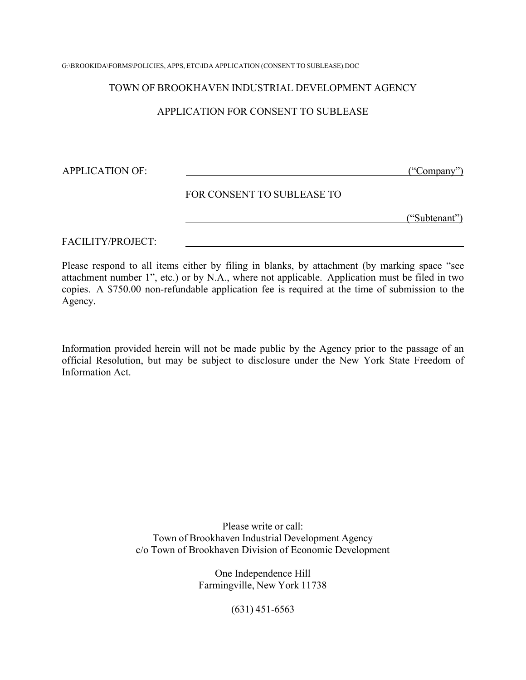G:\BROOKIDA\FORMS\POLICIES, APPS, ETC\IDA APPLICATION (CONSENT TO SUBLEASE).DOC

#### TOWN OF BROOKHAVEN INDUSTRIAL DEVELOPMENT AGENCY

### APPLICATION FOR CONSENT TO SUBLEASE

APPLICATION OF: ("Company")

#### FOR CONSENT TO SUBLEASE TO

("Subtenant")

FACILITY/PROJECT:

Please respond to all items either by filing in blanks, by attachment (by marking space "see attachment number 1", etc.) or by N.A., where not applicable. Application must be filed in two copies. A \$750.00 non-refundable application fee is required at the time of submission to the Agency.

Information provided herein will not be made public by the Agency prior to the passage of an official Resolution, but may be subject to disclosure under the New York State Freedom of Information Act.

> Please write or call: Town of Brookhaven Industrial Development Agency c/o Town of Brookhaven Division of Economic Development

> > One Independence Hill Farmingville, New York 11738

> > > (631) 451-6563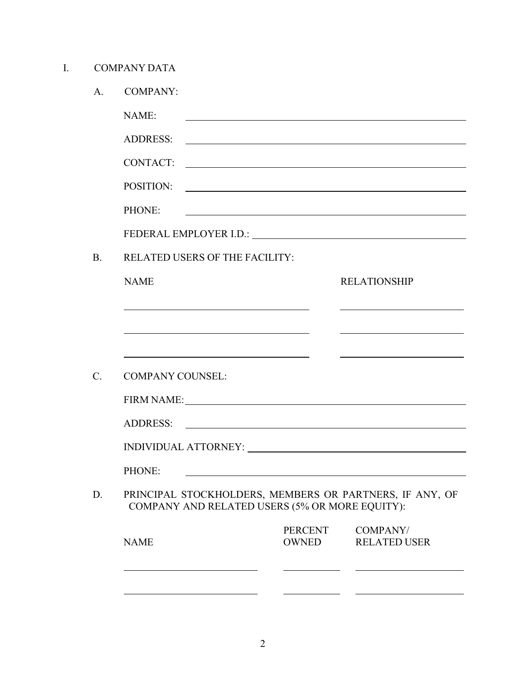I. COMPANY DATA

|                         | <b>COMPANY:</b>                                                                                                       |                                                                                                                             |                                                                                                                                                                                                                                |
|-------------------------|-----------------------------------------------------------------------------------------------------------------------|-----------------------------------------------------------------------------------------------------------------------------|--------------------------------------------------------------------------------------------------------------------------------------------------------------------------------------------------------------------------------|
| NAME:                   |                                                                                                                       |                                                                                                                             |                                                                                                                                                                                                                                |
| <b>ADDRESS:</b>         |                                                                                                                       |                                                                                                                             |                                                                                                                                                                                                                                |
| <b>CONTACT:</b>         |                                                                                                                       |                                                                                                                             | <u> 1980 - Johann Barn, fransk politik fotograf (d. 1980)</u>                                                                                                                                                                  |
| POSITION:               |                                                                                                                       | <u> 1980 - Johann Stein, fransk politik (d. 1980)</u>                                                                       |                                                                                                                                                                                                                                |
| PHONE:                  |                                                                                                                       |                                                                                                                             |                                                                                                                                                                                                                                |
|                         |                                                                                                                       |                                                                                                                             | FEDERAL EMPLOYER I.D.: University of the Second Property of the Second Property of the Second Property of the Second Property of the Second Property of the Second Property of the Second Property of the Second Property of t |
|                         | <b>RELATED USERS OF THE FACILITY:</b>                                                                                 |                                                                                                                             |                                                                                                                                                                                                                                |
| <b>NAME</b>             |                                                                                                                       |                                                                                                                             | <b>RELATIONSHIP</b>                                                                                                                                                                                                            |
|                         |                                                                                                                       |                                                                                                                             |                                                                                                                                                                                                                                |
|                         | <u>and the state of the state of the state of the state of the state of the state of the state of the state of th</u> |                                                                                                                             |                                                                                                                                                                                                                                |
|                         | <u> 1980 - Johann Barn, fransk politik (f. 1980)</u>                                                                  |                                                                                                                             | <u> 1980 - Johann Barn, mars an t-Amerikaansk politiker (</u>                                                                                                                                                                  |
| <b>COMPANY COUNSEL:</b> |                                                                                                                       |                                                                                                                             |                                                                                                                                                                                                                                |
|                         |                                                                                                                       |                                                                                                                             |                                                                                                                                                                                                                                |
|                         |                                                                                                                       |                                                                                                                             |                                                                                                                                                                                                                                |
|                         |                                                                                                                       |                                                                                                                             |                                                                                                                                                                                                                                |
| <b>ADDRESS:</b>         |                                                                                                                       | <u> 1989 - Andrea Station Barbara, amerikan personal personal personal personal personal personal personal personal per</u> |                                                                                                                                                                                                                                |
|                         |                                                                                                                       |                                                                                                                             |                                                                                                                                                                                                                                |
|                         |                                                                                                                       |                                                                                                                             |                                                                                                                                                                                                                                |
| PHONE:                  |                                                                                                                       | COMPANY AND RELATED USERS (5% OR MORE EQUITY):                                                                              | PRINCIPAL STOCKHOLDERS, MEMBERS OR PARTNERS, IF ANY, OF                                                                                                                                                                        |
| <b>NAME</b>             |                                                                                                                       | <b>PERCENT</b><br><b>OWNED</b>                                                                                              | COMPANY/<br><b>RELATED USER</b>                                                                                                                                                                                                |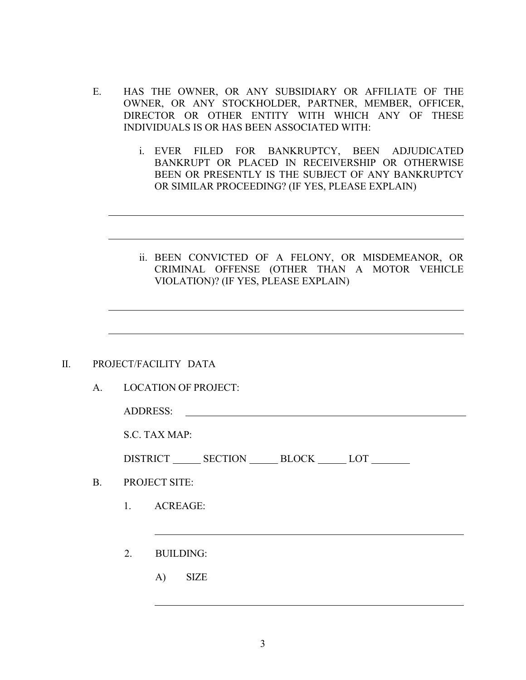- E. HAS THE OWNER, OR ANY SUBSIDIARY OR AFFILIATE OF THE OWNER, OR ANY STOCKHOLDER, PARTNER, MEMBER, OFFICER, DIRECTOR OR OTHER ENTITY WITH WHICH ANY OF THESE INDIVIDUALS IS OR HAS BEEN ASSOCIATED WITH:
	- i. EVER FILED FOR BANKRUPTCY, BEEN ADJUDICATED BANKRUPT OR PLACED IN RECEIVERSHIP OR OTHERWISE BEEN OR PRESENTLY IS THE SUBJECT OF ANY BANKRUPTCY OR SIMILAR PROCEEDING? (IF YES, PLEASE EXPLAIN)
	- ii. BEEN CONVICTED OF A FELONY, OR MISDEMEANOR, OR CRIMINAL OFFENSE (OTHER THAN A MOTOR VEHICLE VIOLATION)? (IF YES, PLEASE EXPLAIN)

#### II. PROJECT/FACILITY DATA

A. LOCATION OF PROJECT:

ADDRESS:

S.C. TAX MAP:

| DISTRICT | <b>SECTION</b> | BLOCK | LOT |  |
|----------|----------------|-------|-----|--|
|          |                |       |     |  |

- B. PROJECT SITE:
	- 1. ACREAGE:
	- 2. BUILDING:
		- A) SIZE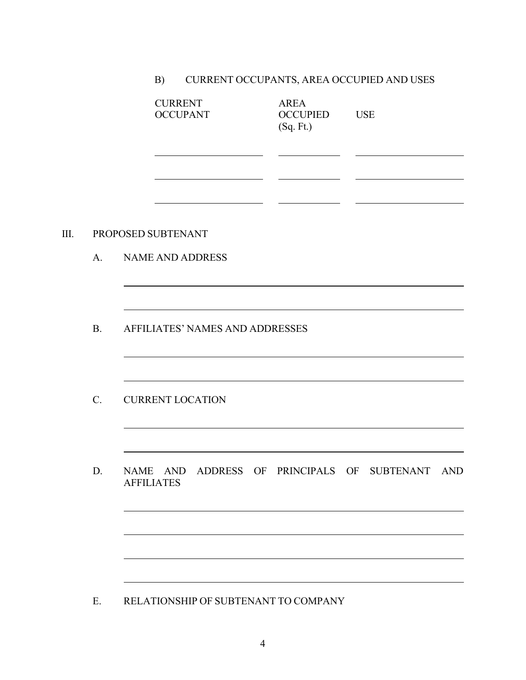# B) CURRENT OCCUPANTS, AREA OCCUPIED AND USES

|      |                | <b>CURRENT</b><br><b>OCCUPANT</b> | <b>AREA</b><br><b>OCCUPIED</b><br>(Sq. Ft.) | <b>USE</b> |     |
|------|----------------|-----------------------------------|---------------------------------------------|------------|-----|
|      |                |                                   |                                             |            |     |
| III. |                | PROPOSED SUBTENANT                |                                             |            |     |
|      | A <sub>1</sub> | <b>NAME AND ADDRESS</b>           |                                             |            |     |
|      |                |                                   |                                             |            |     |
|      | <b>B.</b>      | AFFILIATES' NAMES AND ADDRESSES   |                                             |            |     |
|      |                |                                   |                                             |            |     |
|      | $C_{\cdot}$    | <b>CURRENT LOCATION</b>           |                                             |            |     |
|      |                |                                   |                                             |            |     |
|      | D.             | NAME AND<br><b>AFFILIATES</b>     | ADDRESS OF PRINCIPALS OF SUBTENANT          |            | AND |

E. RELATIONSHIP OF SUBTENANT TO COMPANY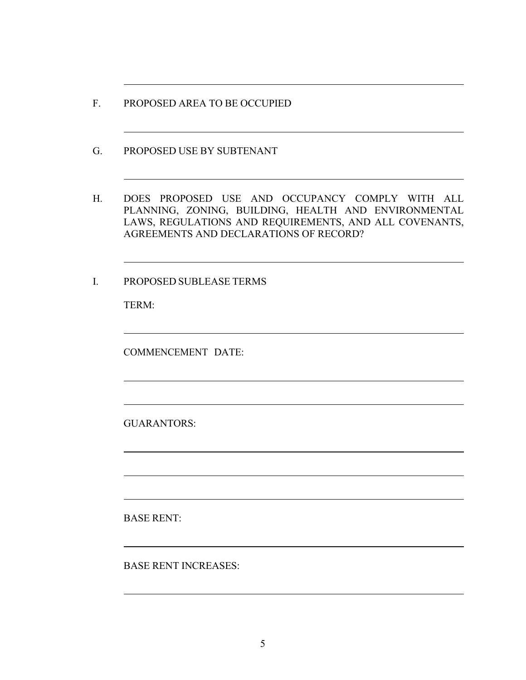- F. PROPOSED AREA TO BE OCCUPIED
- G. PROPOSED USE BY SUBTENANT
- H. DOES PROPOSED USE AND OCCUPANCY COMPLY WITH ALL PLANNING, ZONING, BUILDING, HEALTH AND ENVIRONMENTAL LAWS, REGULATIONS AND REQUIREMENTS, AND ALL COVENANTS, AGREEMENTS AND DECLARATIONS OF RECORD?

I. PROPOSED SUBLEASE TERMS

TERM:

COMMENCEMENT DATE:

GUARANTORS:

BASE RENT:

BASE RENT INCREASES: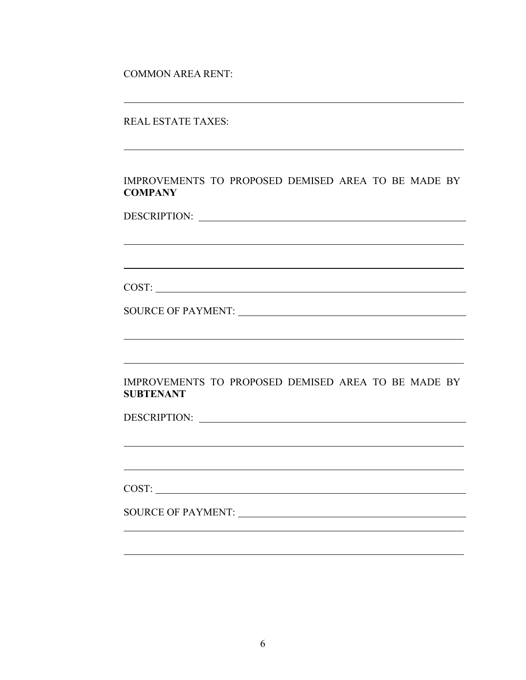COMMON AREA RENT:

### IMPROVEMENTS TO PROPOSED DEMISED AREA TO BE MADE BY **COMPANY**

DESCRIPTION: University of the contract of the contract of the contract of the contract of the contract of the contract of the contract of the contract of the contract of the contract of the contract of the contract of the

COST:

SOURCE OF PAYMENT:

### IMPROVEMENTS TO PROPOSED DEMISED AREA TO BE MADE BY **SUBTENANT**

<u> 1989 - Johann Stoff, fransk politik (f. 1989)</u>

DESCRIPTION:

COST:

SOURCE OF PAYMENT: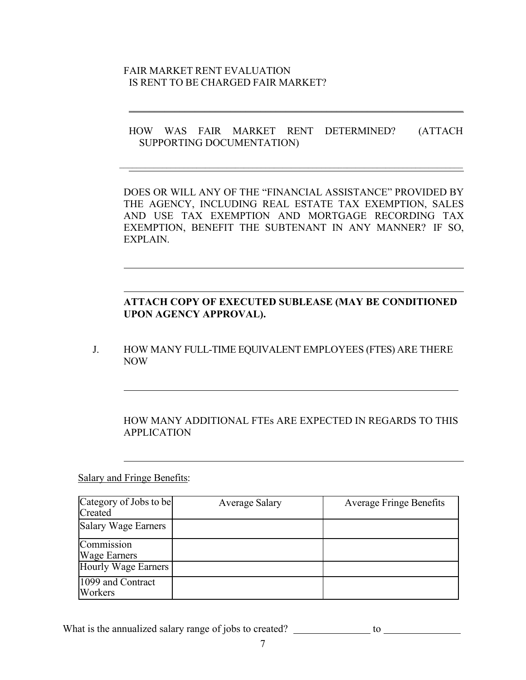### FAIR MARKET RENT EVALUATION IS RENT TO BE CHARGED FAIR MARKET?

### HOW WAS FAIR MARKET RENT DETERMINED? (ATTACH SUPPORTING DOCUMENTATION)

DOES OR WILL ANY OF THE "FINANCIAL ASSISTANCE" PROVIDED BY THE AGENCY, INCLUDING REAL ESTATE TAX EXEMPTION, SALES AND USE TAX EXEMPTION AND MORTGAGE RECORDING TAX EXEMPTION, BENEFIT THE SUBTENANT IN ANY MANNER? IF SO, EXPLAIN.

## **ATTACH COPY OF EXECUTED SUBLEASE (MAY BE CONDITIONED UPON AGENCY APPROVAL).**

J. HOW MANY FULL-TIME EQUIVALENT EMPLOYEES (FTES) ARE THERE NOW

## HOW MANY ADDITIONAL FTEs ARE EXPECTED IN REGARDS TO THIS APPLICATION

Salary and Fringe Benefits:

| Category of Jobs to be       | <b>Average Salary</b> | <b>Average Fringe Benefits</b> |
|------------------------------|-----------------------|--------------------------------|
| Created                      |                       |                                |
| <b>Salary Wage Earners</b>   |                       |                                |
| Commission                   |                       |                                |
| <b>Wage Earners</b>          |                       |                                |
| Hourly Wage Earners          |                       |                                |
| 1099 and Contract<br>Workers |                       |                                |
|                              |                       |                                |

What is the annualized salary range of jobs to created? to to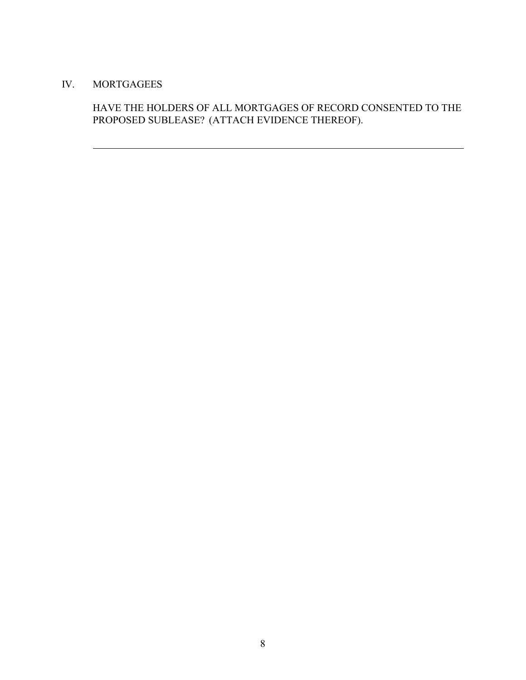## IV. MORTGAGEES

# HAVE THE HOLDERS OF ALL MORTGAGES OF RECORD CONSENTED TO THE PROPOSED SUBLEASE? (ATTACH EVIDENCE THEREOF).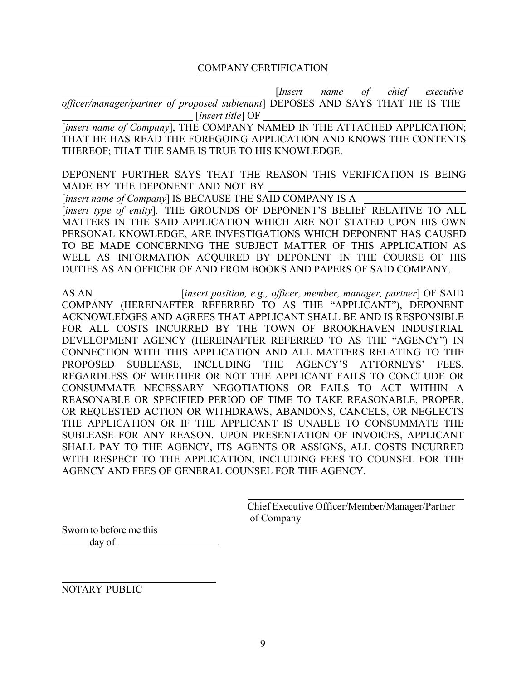### COMPANY CERTIFICATION

[*Insert name of chief executive officer/manager/partner of proposed subtenant*] DEPOSES AND SAYS THAT HE IS THE [*insert title*] OF

[insert name of Company], THE COMPANY NAMED IN THE ATTACHED APPLICATION; THAT HE HAS READ THE FOREGOING APPLICATION AND KNOWS THE CONTENTS THEREOF; THAT THE SAME IS TRUE TO HIS KNOWLEDGE.

DEPONENT FURTHER SAYS THAT THE REASON THIS VERIFICATION IS BEING MADE BY THE DEPONENT AND NOT BY

[*insert name of Company*] IS BECAUSE THE SAID COMPANY IS A [*insert type of entity*]. THE GROUNDS OF DEPONENT'S BELIEF RELATIVE TO ALL MATTERS IN THE SAID APPLICATION WHICH ARE NOT STATED UPON HIS OWN PERSONAL KNOWLEDGE, ARE INVESTIGATIONS WHICH DEPONENT HAS CAUSED TO BE MADE CONCERNING THE SUBJECT MATTER OF THIS APPLICATION AS WELL AS INFORMATION ACQUIRED BY DEPONENT IN THE COURSE OF HIS DUTIES AS AN OFFICER OF AND FROM BOOKS AND PAPERS OF SAID COMPANY.

AS AN [*insert position, e.g., officer, member, manager, partner*] OF SAID COMPANY (HEREINAFTER REFERRED TO AS THE "APPLICANT"), DEPONENT ACKNOWLEDGES AND AGREES THAT APPLICANT SHALL BE AND IS RESPONSIBLE FOR ALL COSTS INCURRED BY THE TOWN OF BROOKHAVEN INDUSTRIAL DEVELOPMENT AGENCY (HEREINAFTER REFERRED TO AS THE "AGENCY") IN CONNECTION WITH THIS APPLICATION AND ALL MATTERS RELATING TO THE PROPOSED SUBLEASE, INCLUDING THE AGENCY'S ATTORNEYS' FEES, REGARDLESS OF WHETHER OR NOT THE APPLICANT FAILS TO CONCLUDE OR CONSUMMATE NECESSARY NEGOTIATIONS OR FAILS TO ACT WITHIN A REASONABLE OR SPECIFIED PERIOD OF TIME TO TAKE REASONABLE, PROPER, OR REQUESTED ACTION OR WITHDRAWS, ABANDONS, CANCELS, OR NEGLECTS THE APPLICATION OR IF THE APPLICANT IS UNABLE TO CONSUMMATE THE SUBLEASE FOR ANY REASON. UPON PRESENTATION OF INVOICES, APPLICANT SHALL PAY TO THE AGENCY, ITS AGENTS OR ASSIGNS, ALL COSTS INCURRED WITH RESPECT TO THE APPLICATION, INCLUDING FEES TO COUNSEL FOR THE AGENCY AND FEES OF GENERAL COUNSEL FOR THE AGENCY.

> Chief Executive Officer/Member/Manager/Partner of Company

Sworn to before me this day of

NOTARY PUBLIC